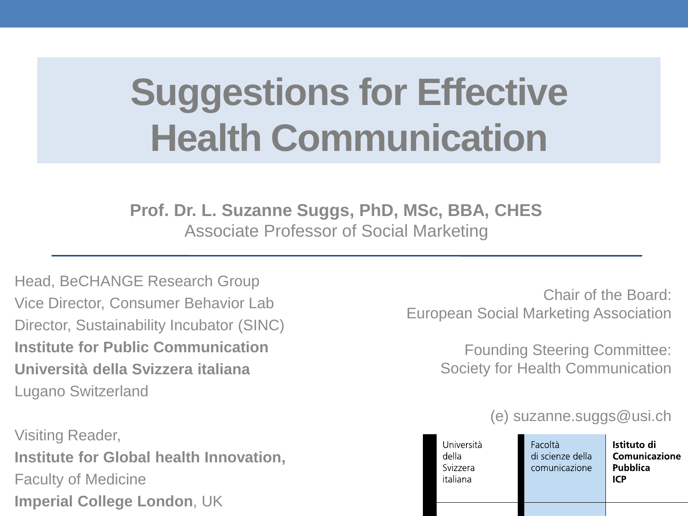# **Suggestions for Effective Health Communication**

**Prof. Dr. L. Suzanne Suggs, PhD, MSc, BBA, CHES** Associate Professor of Social Marketing

Head, BeCHANGE Research Group Vice Director, Consumer Behavior Lab Director, Sustainability Incubator (SINC) **Institute for Public Communication Università della Svizzera italiana** Lugano Switzerland

Visiting Reader, **Institute for Global health Innovation,**  Faculty of Medicine **Imperial College London**, UK

Chair of the Board: European Social Marketing Association

> Founding Steering Committee: Society for Health Communication

#### (e) suzanne.suggs@usi.ch

| Università<br>della<br>Svizzera<br>italiana | Facoltà<br>di scienze della<br>comunicazione | Istituto di<br>Comunicazione<br>Pubblica<br>ICP |
|---------------------------------------------|----------------------------------------------|-------------------------------------------------|
|                                             |                                              |                                                 |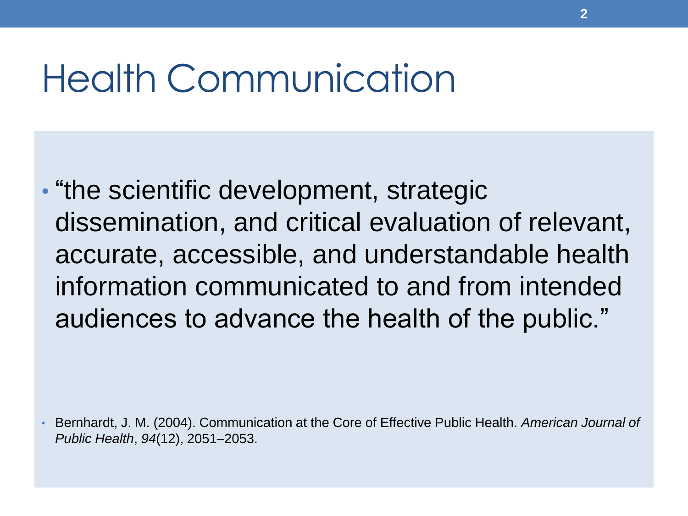### Health Communication

• "the scientific development, strategic dissemination, and critical evaluation of relevant, accurate, accessible, and understandable health information communicated to and from intended audiences to advance the health of the public."

• Bernhardt, J. M. (2004). Communication at the Core of Effective Public Health. *American Journal of Public Health*, *94*(12), 2051–2053.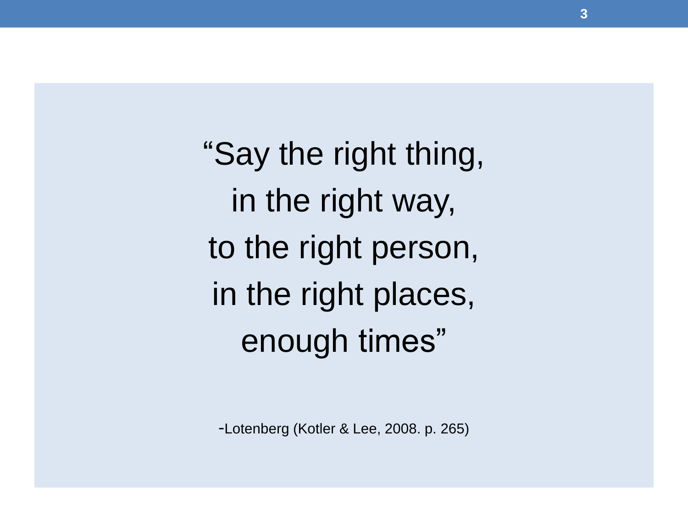"Say the right thing, in the right way, to the right person, in the right places, enough times"

-Lotenberg (Kotler & Lee, 2008. p. 265)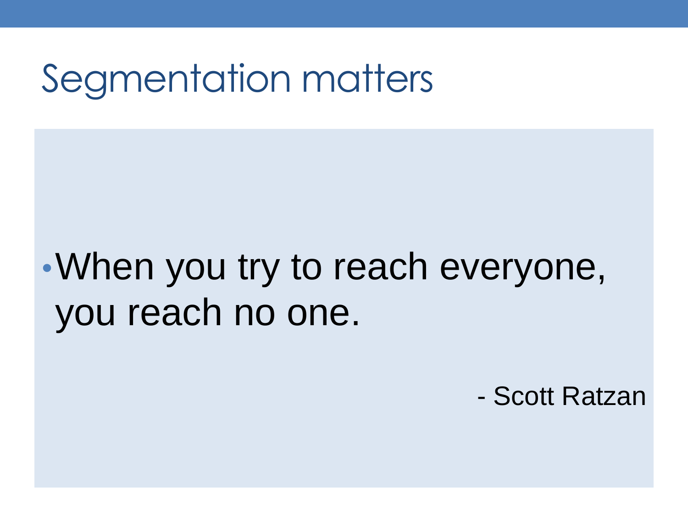## Segmentation matters

## •When you try to reach everyone, you reach no one.

- Scott Ratzan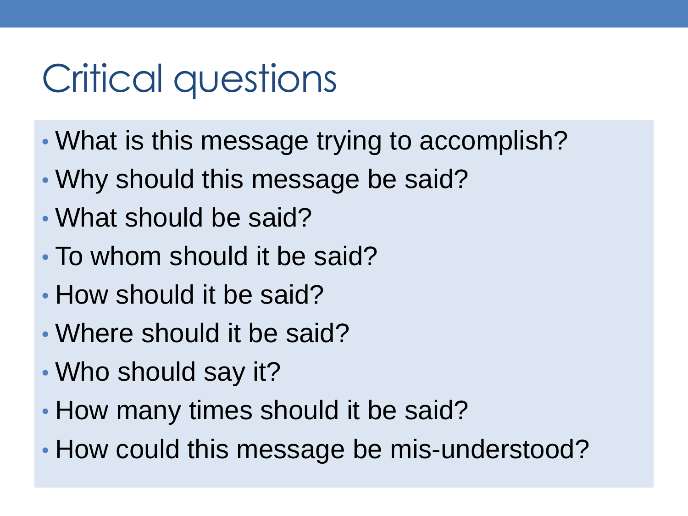# Critical questions

- What is this message trying to accomplish?
- Why should this message be said?
- What should be said?
- To whom should it be said?
- How should it be said?
- Where should it be said?
- Who should say it?
- How many times should it be said?
- How could this message be mis-understood?